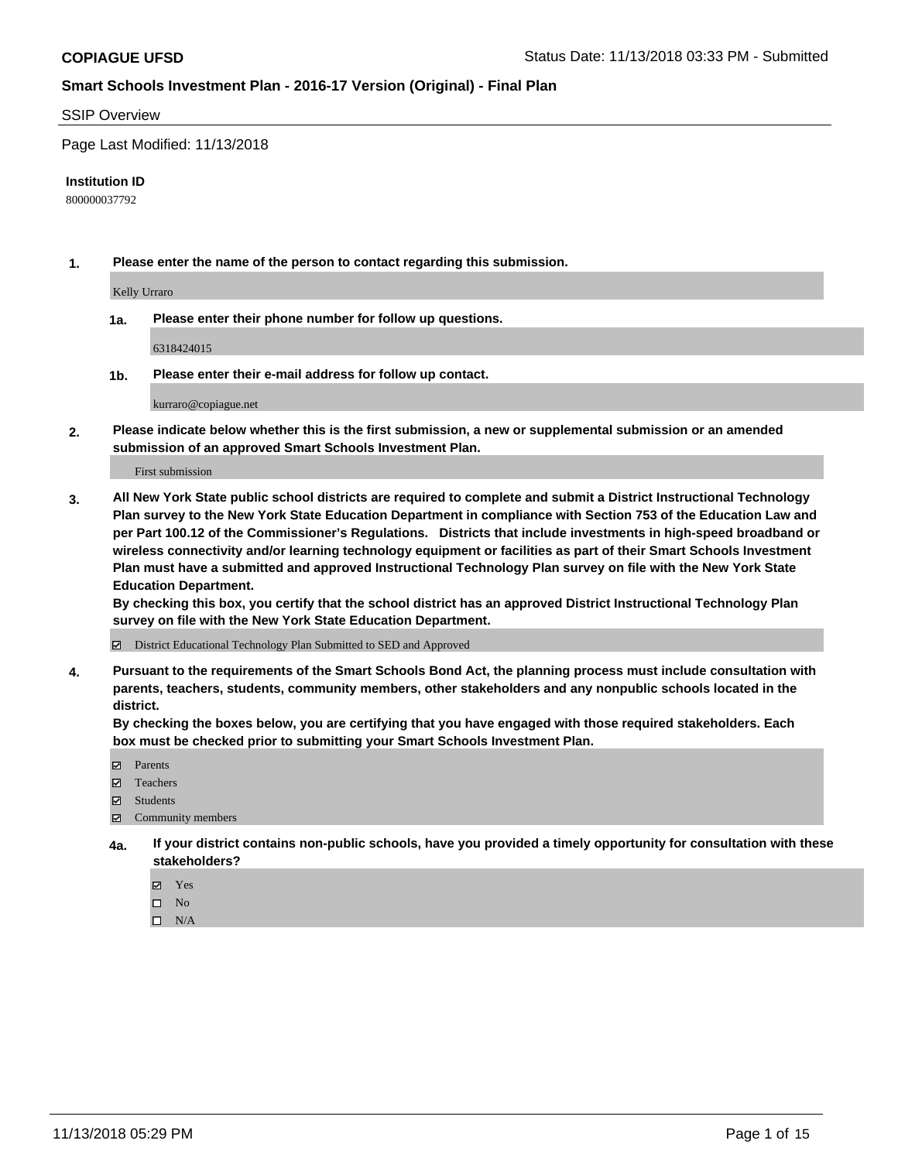#### SSIP Overview

Page Last Modified: 11/13/2018

#### **Institution ID**

800000037792

**1. Please enter the name of the person to contact regarding this submission.**

Kelly Urraro

**1a. Please enter their phone number for follow up questions.**

6318424015

**1b. Please enter their e-mail address for follow up contact.**

kurraro@copiague.net

**2. Please indicate below whether this is the first submission, a new or supplemental submission or an amended submission of an approved Smart Schools Investment Plan.**

First submission

**3. All New York State public school districts are required to complete and submit a District Instructional Technology Plan survey to the New York State Education Department in compliance with Section 753 of the Education Law and per Part 100.12 of the Commissioner's Regulations. Districts that include investments in high-speed broadband or wireless connectivity and/or learning technology equipment or facilities as part of their Smart Schools Investment Plan must have a submitted and approved Instructional Technology Plan survey on file with the New York State Education Department.** 

**By checking this box, you certify that the school district has an approved District Instructional Technology Plan survey on file with the New York State Education Department.**

District Educational Technology Plan Submitted to SED and Approved

**4. Pursuant to the requirements of the Smart Schools Bond Act, the planning process must include consultation with parents, teachers, students, community members, other stakeholders and any nonpublic schools located in the district.** 

**By checking the boxes below, you are certifying that you have engaged with those required stakeholders. Each box must be checked prior to submitting your Smart Schools Investment Plan.**

- **□** Parents
- Teachers
- Students
- $\boxtimes$  Community members
- **4a. If your district contains non-public schools, have you provided a timely opportunity for consultation with these stakeholders?**
	- Yes
	- $\qquad \qquad$  No
	- $\square$  N/A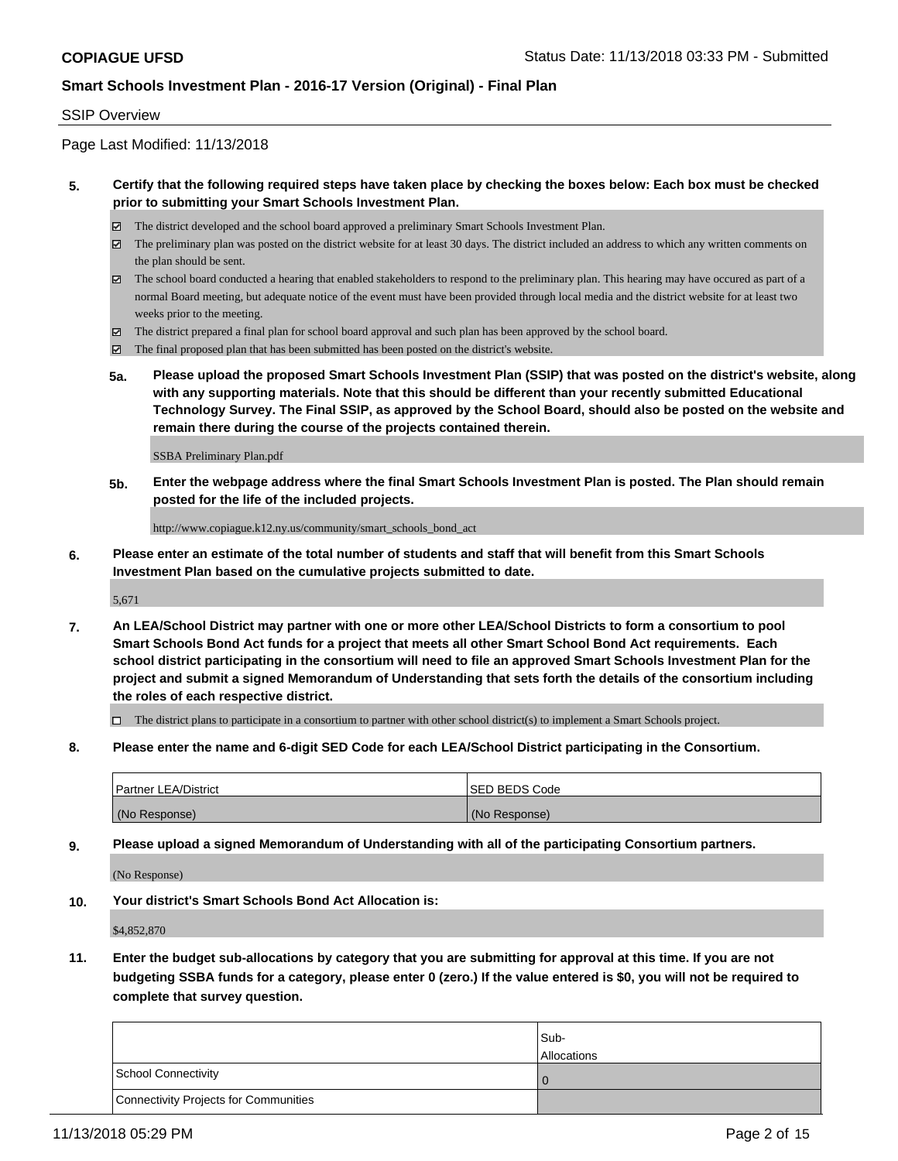#### SSIP Overview

Page Last Modified: 11/13/2018

#### **5. Certify that the following required steps have taken place by checking the boxes below: Each box must be checked prior to submitting your Smart Schools Investment Plan.**

- The district developed and the school board approved a preliminary Smart Schools Investment Plan.
- $\boxtimes$  The preliminary plan was posted on the district website for at least 30 days. The district included an address to which any written comments on the plan should be sent.
- $\boxtimes$  The school board conducted a hearing that enabled stakeholders to respond to the preliminary plan. This hearing may have occured as part of a normal Board meeting, but adequate notice of the event must have been provided through local media and the district website for at least two weeks prior to the meeting.
- The district prepared a final plan for school board approval and such plan has been approved by the school board.
- $\boxtimes$  The final proposed plan that has been submitted has been posted on the district's website.
- **5a. Please upload the proposed Smart Schools Investment Plan (SSIP) that was posted on the district's website, along with any supporting materials. Note that this should be different than your recently submitted Educational Technology Survey. The Final SSIP, as approved by the School Board, should also be posted on the website and remain there during the course of the projects contained therein.**

SSBA Preliminary Plan.pdf

**5b. Enter the webpage address where the final Smart Schools Investment Plan is posted. The Plan should remain posted for the life of the included projects.**

http://www.copiague.k12.ny.us/community/smart\_schools\_bond\_act

**6. Please enter an estimate of the total number of students and staff that will benefit from this Smart Schools Investment Plan based on the cumulative projects submitted to date.**

5,671

**7. An LEA/School District may partner with one or more other LEA/School Districts to form a consortium to pool Smart Schools Bond Act funds for a project that meets all other Smart School Bond Act requirements. Each school district participating in the consortium will need to file an approved Smart Schools Investment Plan for the project and submit a signed Memorandum of Understanding that sets forth the details of the consortium including the roles of each respective district.**

 $\Box$  The district plans to participate in a consortium to partner with other school district(s) to implement a Smart Schools project.

**8. Please enter the name and 6-digit SED Code for each LEA/School District participating in the Consortium.**

| <b>Partner LEA/District</b> | <b>ISED BEDS Code</b> |
|-----------------------------|-----------------------|
| (No Response)               | (No Response)         |

**9. Please upload a signed Memorandum of Understanding with all of the participating Consortium partners.**

(No Response)

**10. Your district's Smart Schools Bond Act Allocation is:**

\$4,852,870

**11. Enter the budget sub-allocations by category that you are submitting for approval at this time. If you are not budgeting SSBA funds for a category, please enter 0 (zero.) If the value entered is \$0, you will not be required to complete that survey question.**

|                                       | Sub-<br><b>Allocations</b> |
|---------------------------------------|----------------------------|
| School Connectivity                   |                            |
| Connectivity Projects for Communities |                            |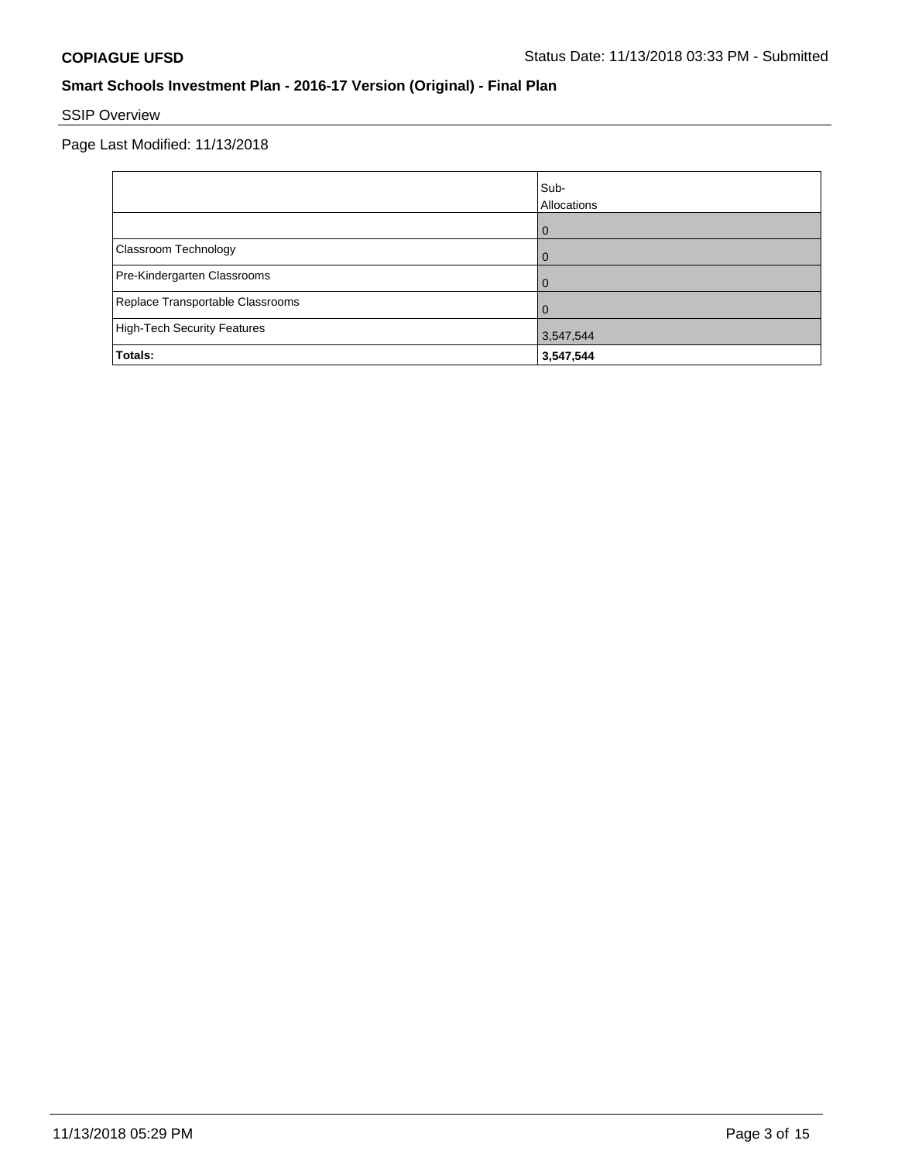# SSIP Overview

|                                  | Sub-<br>Allocations |
|----------------------------------|---------------------|
|                                  | $\overline{0}$      |
| Classroom Technology             | $\Omega$            |
| Pre-Kindergarten Classrooms      | $\Omega$            |
| Replace Transportable Classrooms | $\Omega$            |
| High-Tech Security Features      | 3,547,544           |
| Totals:                          | 3,547,544           |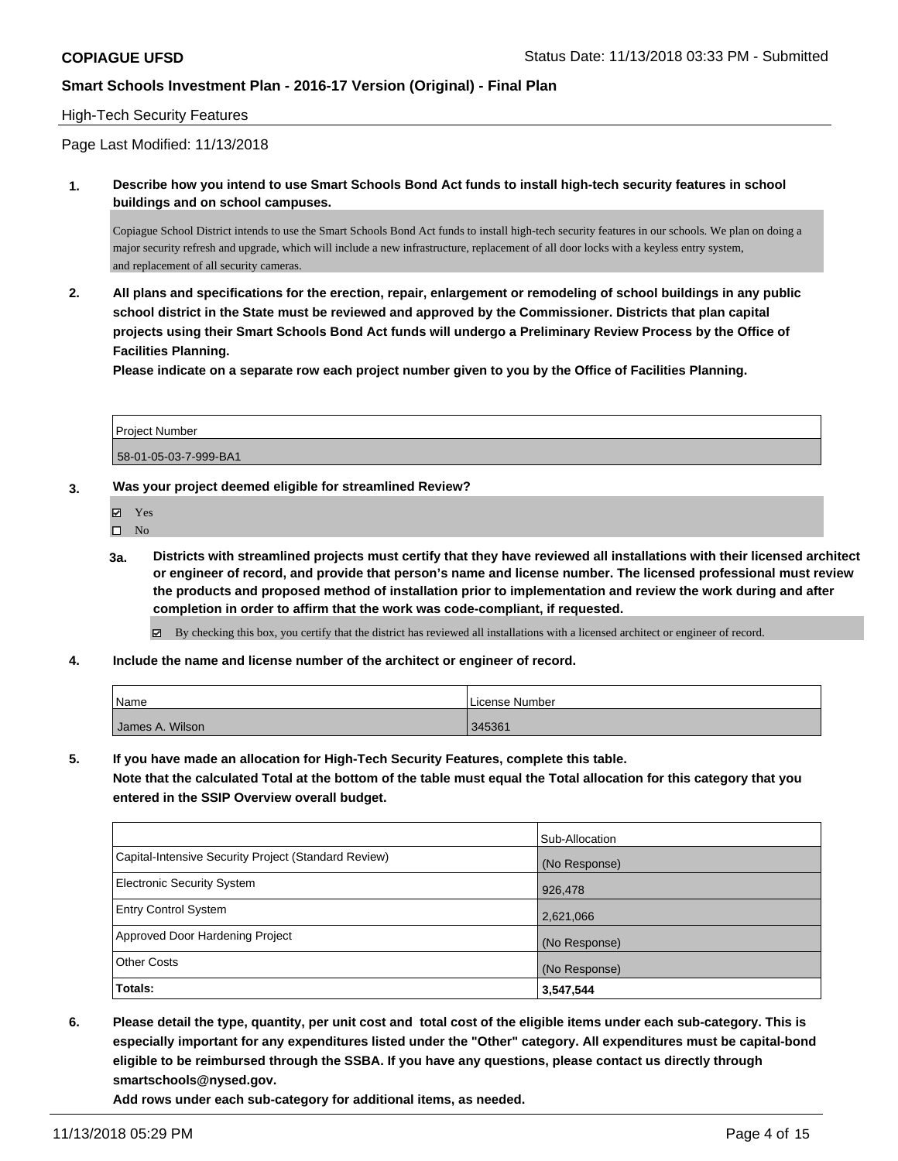#### High-Tech Security Features

Page Last Modified: 11/13/2018

**1. Describe how you intend to use Smart Schools Bond Act funds to install high-tech security features in school buildings and on school campuses.**

Copiague School District intends to use the Smart Schools Bond Act funds to install high-tech security features in our schools. We plan on doing a major security refresh and upgrade, which will include a new infrastructure, replacement of all door locks with a keyless entry system, and replacement of all security cameras.

**2. All plans and specifications for the erection, repair, enlargement or remodeling of school buildings in any public school district in the State must be reviewed and approved by the Commissioner. Districts that plan capital projects using their Smart Schools Bond Act funds will undergo a Preliminary Review Process by the Office of Facilities Planning.** 

**Please indicate on a separate row each project number given to you by the Office of Facilities Planning.**

| <b>Project Number</b> |  |
|-----------------------|--|
| 58-01-05-03-7-999-BA1 |  |

#### **3. Was your project deemed eligible for streamlined Review?**

Yes

 $\square$  No

**3a. Districts with streamlined projects must certify that they have reviewed all installations with their licensed architect or engineer of record, and provide that person's name and license number. The licensed professional must review the products and proposed method of installation prior to implementation and review the work during and after completion in order to affirm that the work was code-compliant, if requested.**

By checking this box, you certify that the district has reviewed all installations with a licensed architect or engineer of record.

**4. Include the name and license number of the architect or engineer of record.**

| Name            | License Number . |
|-----------------|------------------|
| James A. Wilson | 345361           |

**5. If you have made an allocation for High-Tech Security Features, complete this table.**

**Note that the calculated Total at the bottom of the table must equal the Total allocation for this category that you entered in the SSIP Overview overall budget.**

|                                                      | Sub-Allocation |
|------------------------------------------------------|----------------|
| Capital-Intensive Security Project (Standard Review) | (No Response)  |
| <b>Electronic Security System</b>                    | 926,478        |
| <b>Entry Control System</b>                          | 2,621,066      |
| Approved Door Hardening Project                      | (No Response)  |
| <b>Other Costs</b>                                   | (No Response)  |
| Totals:                                              | 3,547,544      |

**6. Please detail the type, quantity, per unit cost and total cost of the eligible items under each sub-category. This is especially important for any expenditures listed under the "Other" category. All expenditures must be capital-bond eligible to be reimbursed through the SSBA. If you have any questions, please contact us directly through smartschools@nysed.gov.**

**Add rows under each sub-category for additional items, as needed.**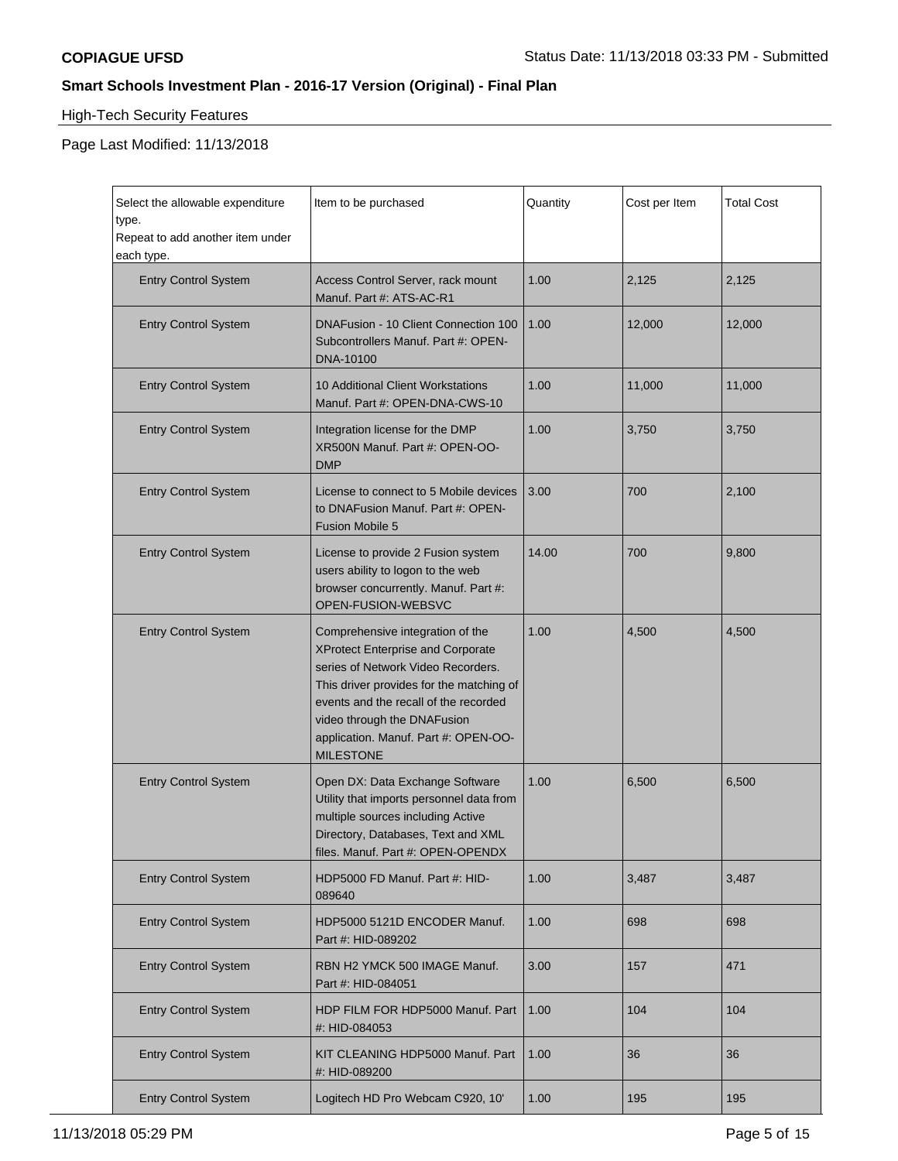$\blacksquare$ 

## **Smart Schools Investment Plan - 2016-17 Version (Original) - Final Plan**

# High-Tech Security Features

| Select the allowable expenditure<br>type.<br>Repeat to add another item under<br>each type. | Item to be purchased                                                                                                                                                                                                                                                                        | Quantity | Cost per Item | <b>Total Cost</b> |
|---------------------------------------------------------------------------------------------|---------------------------------------------------------------------------------------------------------------------------------------------------------------------------------------------------------------------------------------------------------------------------------------------|----------|---------------|-------------------|
| <b>Entry Control System</b>                                                                 | Access Control Server, rack mount<br>Manuf. Part #: ATS-AC-R1                                                                                                                                                                                                                               | 1.00     | 2,125         | 2,125             |
| <b>Entry Control System</b>                                                                 | DNAFusion - 10 Client Connection 100<br>Subcontrollers Manuf. Part #: OPEN-<br>DNA-10100                                                                                                                                                                                                    | 1.00     | 12,000        | 12,000            |
| <b>Entry Control System</b>                                                                 | 10 Additional Client Workstations<br>Manuf. Part #: OPEN-DNA-CWS-10                                                                                                                                                                                                                         | 1.00     | 11,000        | 11,000            |
| <b>Entry Control System</b>                                                                 | Integration license for the DMP<br>XR500N Manuf. Part #: OPEN-OO-<br><b>DMP</b>                                                                                                                                                                                                             | 1.00     | 3,750         | 3,750             |
| <b>Entry Control System</b>                                                                 | License to connect to 5 Mobile devices<br>to DNAFusion Manuf. Part #: OPEN-<br><b>Fusion Mobile 5</b>                                                                                                                                                                                       | 3.00     | 700           | 2,100             |
| <b>Entry Control System</b>                                                                 | License to provide 2 Fusion system<br>users ability to logon to the web<br>browser concurrently. Manuf. Part #:<br>OPEN-FUSION-WEBSVC                                                                                                                                                       | 14.00    | 700           | 9,800             |
| <b>Entry Control System</b>                                                                 | Comprehensive integration of the<br>XProtect Enterprise and Corporate<br>series of Network Video Recorders.<br>This driver provides for the matching of<br>events and the recall of the recorded<br>video through the DNAFusion<br>application. Manuf. Part #: OPEN-OO-<br><b>MILESTONE</b> | 1.00     | 4,500         | 4,500             |
| <b>Entry Control System</b>                                                                 | Open DX: Data Exchange Software<br>Utility that imports personnel data from<br>multiple sources including Active<br>Directory, Databases, Text and XML<br>files. Manuf. Part #: OPEN-OPENDX                                                                                                 | 1.00     | 6,500         | 6,500             |
| <b>Entry Control System</b>                                                                 | HDP5000 FD Manuf. Part #: HID-<br>089640                                                                                                                                                                                                                                                    | 1.00     | 3,487         | 3,487             |
| <b>Entry Control System</b>                                                                 | HDP5000 5121D ENCODER Manuf.<br>Part #: HID-089202                                                                                                                                                                                                                                          | 1.00     | 698           | 698               |
| <b>Entry Control System</b>                                                                 | RBN H2 YMCK 500 IMAGE Manuf.<br>Part #: HID-084051                                                                                                                                                                                                                                          | 3.00     | 157           | 471               |
| <b>Entry Control System</b>                                                                 | HDP FILM FOR HDP5000 Manuf. Part<br>#: HID-084053                                                                                                                                                                                                                                           | 1.00     | 104           | 104               |
| <b>Entry Control System</b>                                                                 | KIT CLEANING HDP5000 Manuf. Part<br>#: HID-089200                                                                                                                                                                                                                                           | 1.00     | 36            | 36                |
| <b>Entry Control System</b>                                                                 | Logitech HD Pro Webcam C920, 10'                                                                                                                                                                                                                                                            | 1.00     | 195           | 195               |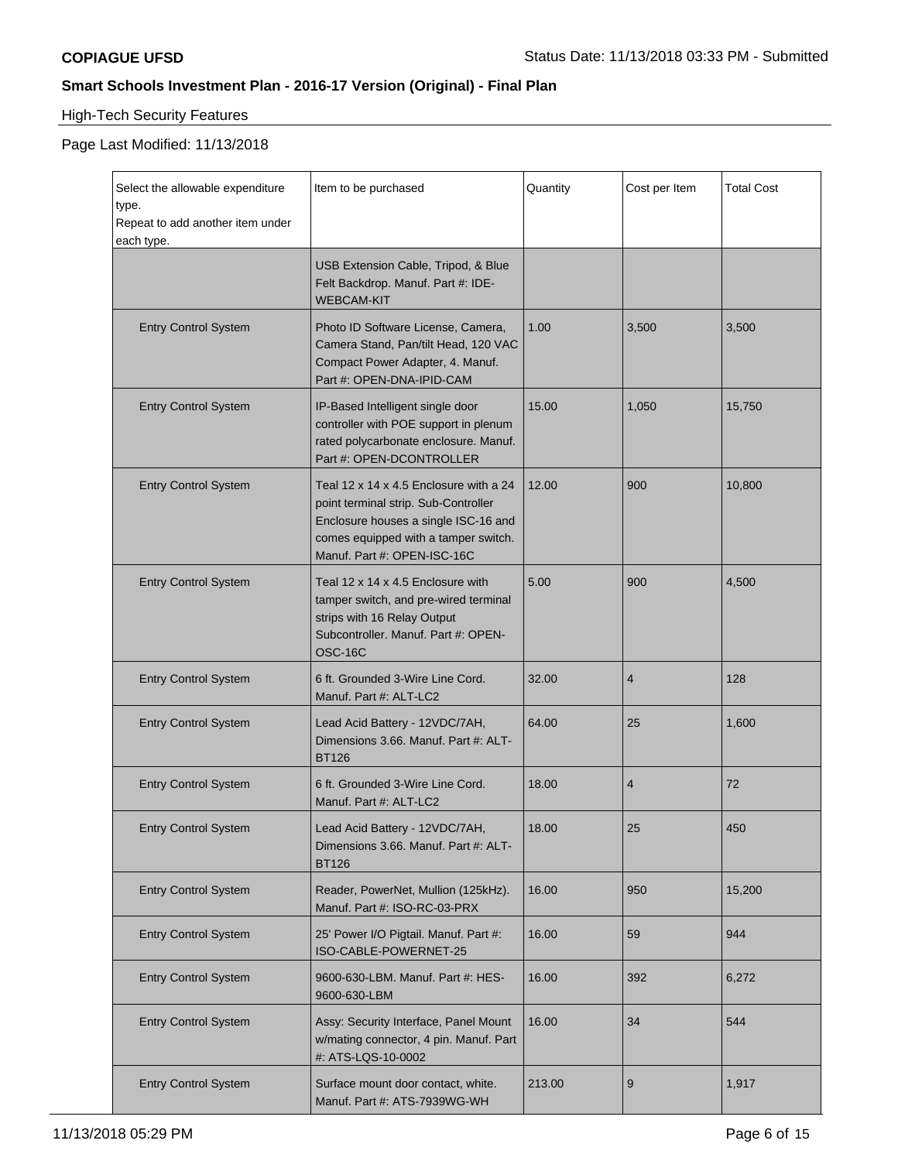# High-Tech Security Features

| Select the allowable expenditure<br>type.<br>Repeat to add another item under<br>each type. | Item to be purchased                                                                                                                                                                          | Quantity | Cost per Item  | <b>Total Cost</b> |
|---------------------------------------------------------------------------------------------|-----------------------------------------------------------------------------------------------------------------------------------------------------------------------------------------------|----------|----------------|-------------------|
|                                                                                             | USB Extension Cable, Tripod, & Blue<br>Felt Backdrop. Manuf. Part #: IDE-<br><b>WEBCAM-KIT</b>                                                                                                |          |                |                   |
| <b>Entry Control System</b>                                                                 | Photo ID Software License, Camera,<br>Camera Stand, Pan/tilt Head, 120 VAC<br>Compact Power Adapter, 4. Manuf.<br>Part #: OPEN-DNA-IPID-CAM                                                   | 1.00     | 3,500          | 3,500             |
| <b>Entry Control System</b>                                                                 | IP-Based Intelligent single door<br>controller with POE support in plenum<br>rated polycarbonate enclosure. Manuf.<br>Part #: OPEN-DCONTROLLER                                                | 15.00    | 1,050          | 15,750            |
| <b>Entry Control System</b>                                                                 | Teal 12 x 14 x 4.5 Enclosure with a 24<br>point terminal strip. Sub-Controller<br>Enclosure houses a single ISC-16 and<br>comes equipped with a tamper switch.<br>Manuf. Part #: OPEN-ISC-16C | 12.00    | 900            | 10,800            |
| <b>Entry Control System</b>                                                                 | Teal 12 x 14 x 4.5 Enclosure with<br>tamper switch, and pre-wired terminal<br>strips with 16 Relay Output<br>Subcontroller. Manuf. Part #: OPEN-<br>OSC-16C                                   | 5.00     | 900            | 4,500             |
| <b>Entry Control System</b>                                                                 | 6 ft. Grounded 3-Wire Line Cord.<br>Manuf. Part #: ALT-LC2                                                                                                                                    | 32.00    | $\overline{4}$ | 128               |
| <b>Entry Control System</b>                                                                 | Lead Acid Battery - 12VDC/7AH,<br>Dimensions 3.66. Manuf. Part #: ALT-<br><b>BT126</b>                                                                                                        | 64.00    | 25             | 1,600             |
| <b>Entry Control System</b>                                                                 | 6 ft. Grounded 3-Wire Line Cord.<br>Manuf. Part #: ALT-LC2                                                                                                                                    | 18.00    | $\overline{4}$ | 72                |
| <b>Entry Control System</b>                                                                 | Lead Acid Battery - 12VDC/7AH.<br>Dimensions 3.66. Manuf. Part #: ALT-<br><b>BT126</b>                                                                                                        | 18.00    | 25             | 450               |
| <b>Entry Control System</b>                                                                 | Reader, PowerNet, Mullion (125kHz).<br>Manuf. Part #: ISO-RC-03-PRX                                                                                                                           | 16.00    | 950            | 15,200            |
| <b>Entry Control System</b>                                                                 | 25' Power I/O Pigtail. Manuf. Part #:<br>ISO-CABLE-POWERNET-25                                                                                                                                | 16.00    | 59             | 944               |
| <b>Entry Control System</b>                                                                 | 9600-630-LBM. Manuf. Part #: HES-<br>9600-630-LBM                                                                                                                                             | 16.00    | 392            | 6,272             |
| <b>Entry Control System</b>                                                                 | Assy: Security Interface, Panel Mount<br>w/mating connector, 4 pin. Manuf. Part<br>#: ATS-LQS-10-0002                                                                                         | 16.00    | 34             | 544               |
| <b>Entry Control System</b>                                                                 | Surface mount door contact, white.<br>Manuf. Part #: ATS-7939WG-WH                                                                                                                            | 213.00   | 9              | 1,917             |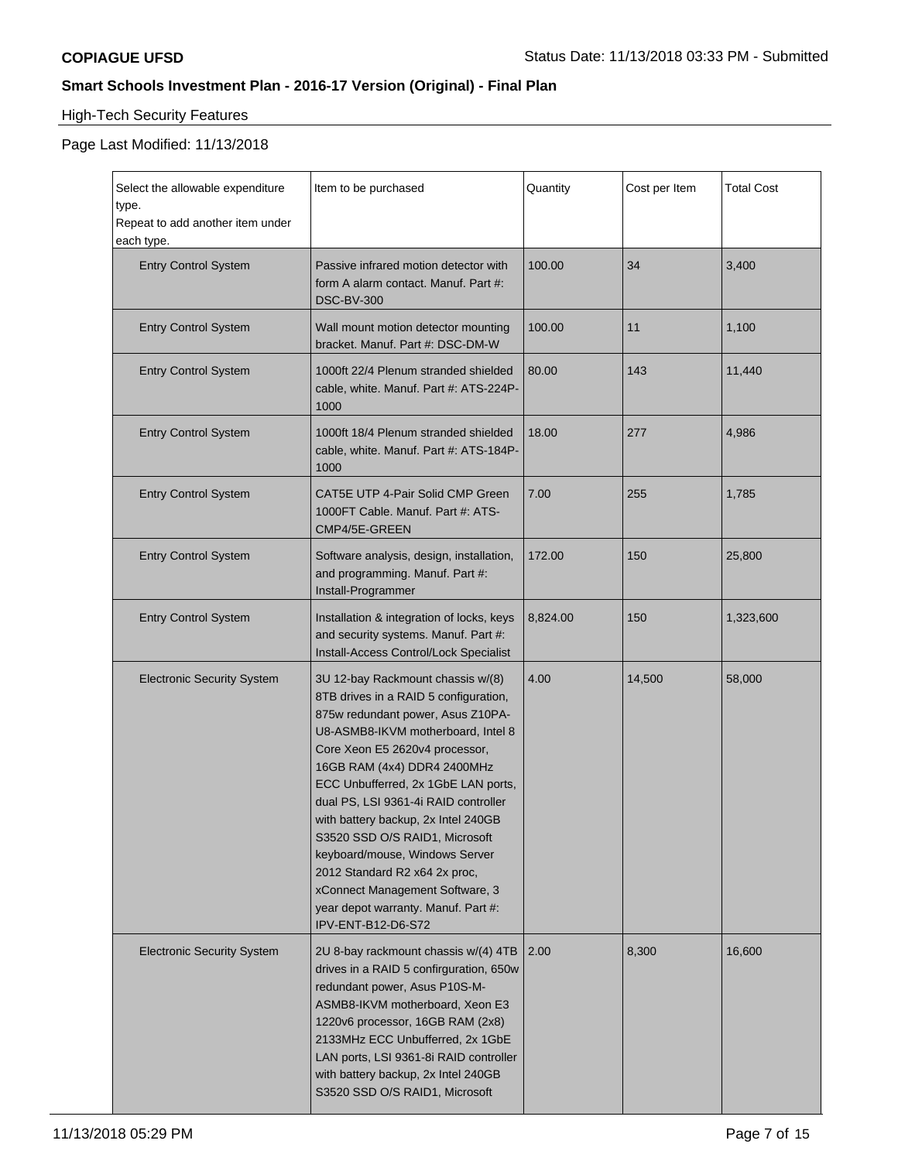# High-Tech Security Features

| Select the allowable expenditure<br>type.<br>Repeat to add another item under<br>each type. | Item to be purchased                                                                                                                                                                                                                                                                                                                                                                                                                                                                                                                              | Quantity | Cost per Item | <b>Total Cost</b> |
|---------------------------------------------------------------------------------------------|---------------------------------------------------------------------------------------------------------------------------------------------------------------------------------------------------------------------------------------------------------------------------------------------------------------------------------------------------------------------------------------------------------------------------------------------------------------------------------------------------------------------------------------------------|----------|---------------|-------------------|
| <b>Entry Control System</b>                                                                 | Passive infrared motion detector with<br>form A alarm contact. Manuf. Part #:<br><b>DSC-BV-300</b>                                                                                                                                                                                                                                                                                                                                                                                                                                                | 100.00   | 34            | 3,400             |
| <b>Entry Control System</b>                                                                 | Wall mount motion detector mounting<br>bracket. Manuf. Part #: DSC-DM-W                                                                                                                                                                                                                                                                                                                                                                                                                                                                           | 100.00   | 11            | 1,100             |
| <b>Entry Control System</b>                                                                 | 1000ft 22/4 Plenum stranded shielded<br>cable, white. Manuf. Part #: ATS-224P-<br>1000                                                                                                                                                                                                                                                                                                                                                                                                                                                            | 80.00    | 143           | 11,440            |
| <b>Entry Control System</b>                                                                 | 1000ft 18/4 Plenum stranded shielded<br>cable, white. Manuf. Part #: ATS-184P-<br>1000                                                                                                                                                                                                                                                                                                                                                                                                                                                            | 18.00    | 277           | 4,986             |
| <b>Entry Control System</b>                                                                 | CAT5E UTP 4-Pair Solid CMP Green<br>1000FT Cable. Manuf. Part #: ATS-<br>CMP4/5E-GREEN                                                                                                                                                                                                                                                                                                                                                                                                                                                            | 7.00     | 255           | 1,785             |
| <b>Entry Control System</b>                                                                 | Software analysis, design, installation,<br>and programming. Manuf. Part #:<br>Install-Programmer                                                                                                                                                                                                                                                                                                                                                                                                                                                 | 172.00   | 150           | 25,800            |
| <b>Entry Control System</b>                                                                 | Installation & integration of locks, keys<br>and security systems. Manuf. Part #:<br>Install-Access Control/Lock Specialist                                                                                                                                                                                                                                                                                                                                                                                                                       | 8,824.00 | 150           | 1,323,600         |
| <b>Electronic Security System</b>                                                           | 3U 12-bay Rackmount chassis w/(8)<br>8TB drives in a RAID 5 configuration,<br>875w redundant power, Asus Z10PA-<br>U8-ASMB8-IKVM motherboard, Intel 8<br>Core Xeon E5 2620v4 processor,<br>16GB RAM (4x4) DDR4 2400MHz<br>ECC Unbufferred, 2x 1GbE LAN ports,<br>dual PS, LSI 9361-4i RAID controller<br>with battery backup, 2x Intel 240GB<br>S3520 SSD O/S RAID1, Microsoft<br>keyboard/mouse, Windows Server<br>2012 Standard R2 x64 2x proc,<br>xConnect Management Software, 3<br>year depot warranty. Manuf. Part #:<br>IPV-ENT-B12-D6-S72 | 4.00     | 14,500        | 58,000            |
| <b>Electronic Security System</b>                                                           | 2U 8-bay rackmount chassis w/(4) 4TB<br>drives in a RAID 5 confirguration, 650w<br>redundant power, Asus P10S-M-<br>ASMB8-IKVM motherboard, Xeon E3<br>1220v6 processor, 16GB RAM (2x8)<br>2133MHz ECC Unbufferred, 2x 1GbE<br>LAN ports, LSI 9361-8i RAID controller<br>with battery backup, 2x Intel 240GB<br>S3520 SSD O/S RAID1, Microsoft                                                                                                                                                                                                    | 2.00     | 8,300         | 16,600            |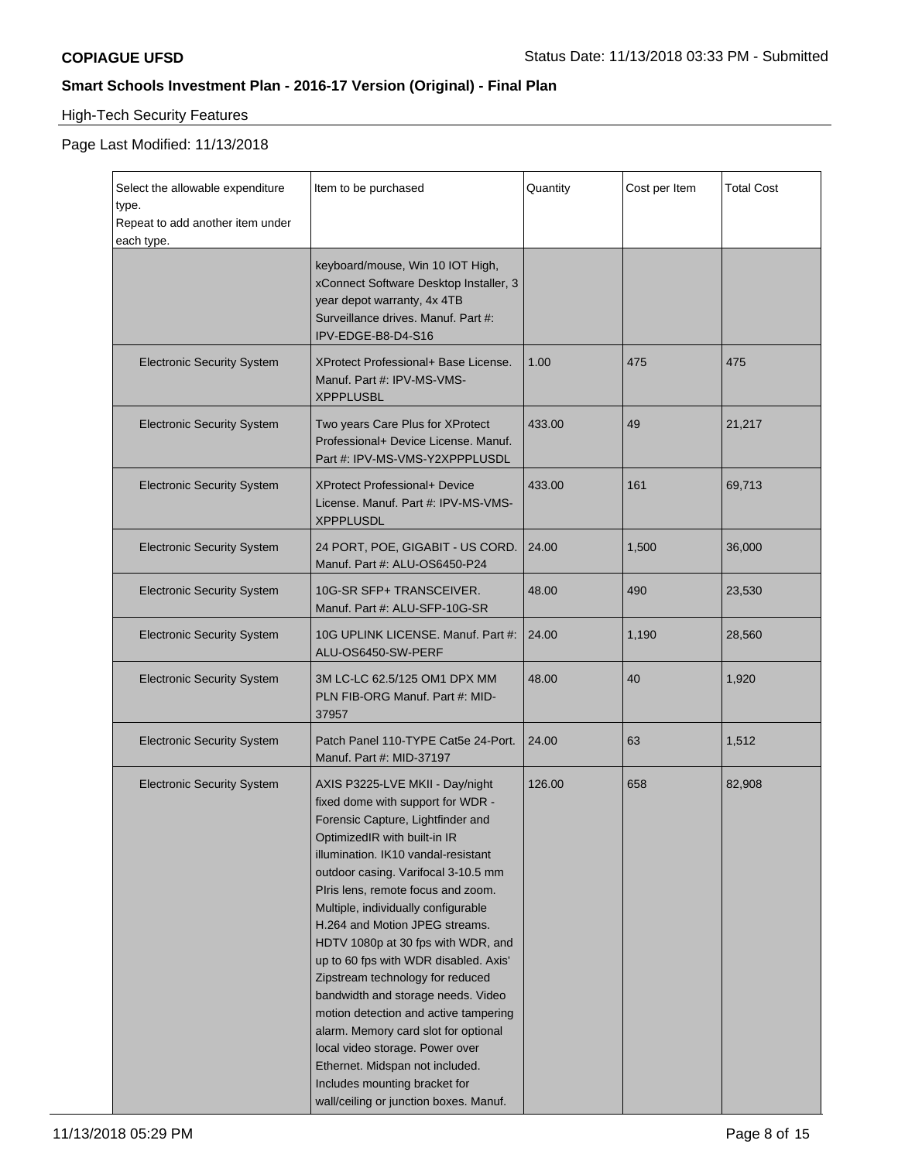# High-Tech Security Features

| Select the allowable expenditure<br>type.<br>Repeat to add another item under<br>each type. | Item to be purchased                                                                                                                                                                                                                                                                                                                                                                                                                                                                                                                                                                                                                                                                                                              | Quantity | Cost per Item | <b>Total Cost</b> |
|---------------------------------------------------------------------------------------------|-----------------------------------------------------------------------------------------------------------------------------------------------------------------------------------------------------------------------------------------------------------------------------------------------------------------------------------------------------------------------------------------------------------------------------------------------------------------------------------------------------------------------------------------------------------------------------------------------------------------------------------------------------------------------------------------------------------------------------------|----------|---------------|-------------------|
|                                                                                             | keyboard/mouse, Win 10 IOT High,<br>xConnect Software Desktop Installer, 3<br>year depot warranty, 4x 4TB<br>Surveillance drives. Manuf. Part #:<br>IPV-EDGE-B8-D4-S16                                                                                                                                                                                                                                                                                                                                                                                                                                                                                                                                                            |          |               |                   |
| <b>Electronic Security System</b>                                                           | XProtect Professional+ Base License.<br>Manuf. Part #: IPV-MS-VMS-<br><b>XPPPLUSBL</b>                                                                                                                                                                                                                                                                                                                                                                                                                                                                                                                                                                                                                                            | 1.00     | 475           | 475               |
| <b>Electronic Security System</b>                                                           | Two years Care Plus for XProtect<br>Professional+ Device License. Manuf.<br>Part #: IPV-MS-VMS-Y2XPPPLUSDL                                                                                                                                                                                                                                                                                                                                                                                                                                                                                                                                                                                                                        | 433.00   | 49            | 21,217            |
| <b>Electronic Security System</b>                                                           | <b>XProtect Professional+ Device</b><br>License. Manuf. Part #: IPV-MS-VMS-<br><b>XPPPLUSDL</b>                                                                                                                                                                                                                                                                                                                                                                                                                                                                                                                                                                                                                                   | 433.00   | 161           | 69,713            |
| <b>Electronic Security System</b>                                                           | 24 PORT, POE, GIGABIT - US CORD.<br>Manuf. Part #: ALU-OS6450-P24                                                                                                                                                                                                                                                                                                                                                                                                                                                                                                                                                                                                                                                                 | 24.00    | 1,500         | 36,000            |
| <b>Electronic Security System</b>                                                           | 10G-SR SFP+ TRANSCEIVER.<br>Manuf. Part #: ALU-SFP-10G-SR                                                                                                                                                                                                                                                                                                                                                                                                                                                                                                                                                                                                                                                                         | 48.00    | 490           | 23,530            |
| <b>Electronic Security System</b>                                                           | 10G UPLINK LICENSE. Manuf. Part #:<br>ALU-OS6450-SW-PERF                                                                                                                                                                                                                                                                                                                                                                                                                                                                                                                                                                                                                                                                          | 24.00    | 1,190         | 28,560            |
| <b>Electronic Security System</b>                                                           | 3M LC-LC 62.5/125 OM1 DPX MM<br>PLN FIB-ORG Manuf. Part #: MID-<br>37957                                                                                                                                                                                                                                                                                                                                                                                                                                                                                                                                                                                                                                                          | 48.00    | 40            | 1,920             |
| <b>Electronic Security System</b>                                                           | Patch Panel 110-TYPE Cat5e 24-Port.<br>Manuf. Part #: MID-37197                                                                                                                                                                                                                                                                                                                                                                                                                                                                                                                                                                                                                                                                   | 24.00    | 63            | 1,512             |
| <b>Electronic Security System</b>                                                           | AXIS P3225-LVE MKII - Day/night<br>fixed dome with support for WDR -<br>Forensic Capture, Lightfinder and<br>OptimizedIR with built-in IR<br>illumination. IK10 vandal-resistant<br>outdoor casing. Varifocal 3-10.5 mm<br>Piris lens, remote focus and zoom.<br>Multiple, individually configurable<br>H.264 and Motion JPEG streams.<br>HDTV 1080p at 30 fps with WDR, and<br>up to 60 fps with WDR disabled. Axis'<br>Zipstream technology for reduced<br>bandwidth and storage needs. Video<br>motion detection and active tampering<br>alarm. Memory card slot for optional<br>local video storage. Power over<br>Ethernet. Midspan not included.<br>Includes mounting bracket for<br>wall/ceiling or junction boxes. Manuf. | 126.00   | 658           | 82,908            |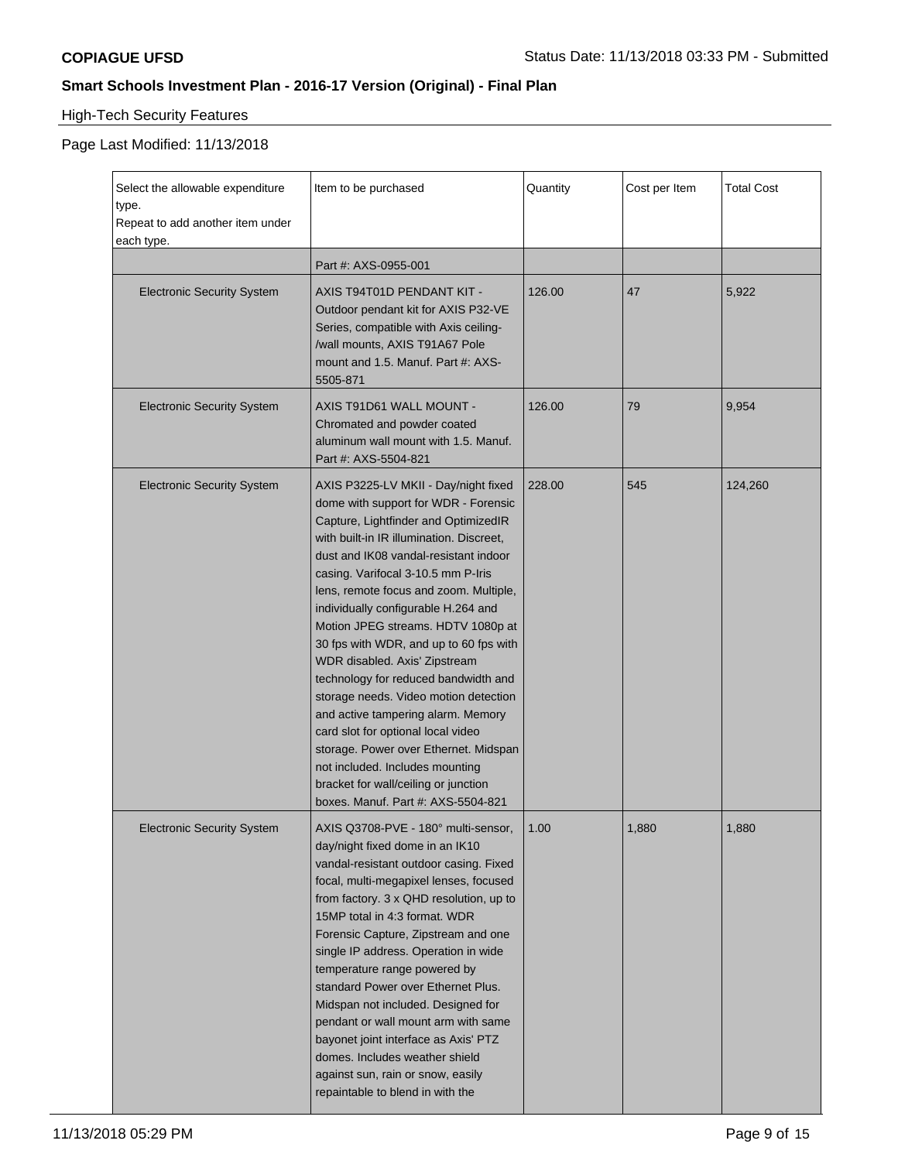# High-Tech Security Features

| Select the allowable expenditure<br>type.<br>Repeat to add another item under<br>each type. | Item to be purchased                                                                                                                                                                                                                                                                                                                                                                                                                                                                                                                                                                                                                                                                                                                                                     | Quantity | Cost per Item | Total Cost |
|---------------------------------------------------------------------------------------------|--------------------------------------------------------------------------------------------------------------------------------------------------------------------------------------------------------------------------------------------------------------------------------------------------------------------------------------------------------------------------------------------------------------------------------------------------------------------------------------------------------------------------------------------------------------------------------------------------------------------------------------------------------------------------------------------------------------------------------------------------------------------------|----------|---------------|------------|
|                                                                                             | Part #: AXS-0955-001                                                                                                                                                                                                                                                                                                                                                                                                                                                                                                                                                                                                                                                                                                                                                     |          |               |            |
| <b>Electronic Security System</b>                                                           | AXIS T94T01D PENDANT KIT -<br>Outdoor pendant kit for AXIS P32-VE<br>Series, compatible with Axis ceiling-<br>/wall mounts, AXIS T91A67 Pole<br>mount and 1.5. Manuf. Part #: AXS-<br>5505-871                                                                                                                                                                                                                                                                                                                                                                                                                                                                                                                                                                           | 126.00   | 47            | 5,922      |
| <b>Electronic Security System</b>                                                           | AXIS T91D61 WALL MOUNT -<br>Chromated and powder coated<br>aluminum wall mount with 1.5. Manuf.<br>Part #: AXS-5504-821                                                                                                                                                                                                                                                                                                                                                                                                                                                                                                                                                                                                                                                  | 126.00   | 79            | 9,954      |
| <b>Electronic Security System</b>                                                           | AXIS P3225-LV MKII - Day/night fixed<br>dome with support for WDR - Forensic<br>Capture, Lightfinder and OptimizedIR<br>with built-in IR illumination. Discreet,<br>dust and IK08 vandal-resistant indoor<br>casing. Varifocal 3-10.5 mm P-Iris<br>lens, remote focus and zoom. Multiple,<br>individually configurable H.264 and<br>Motion JPEG streams. HDTV 1080p at<br>30 fps with WDR, and up to 60 fps with<br>WDR disabled. Axis' Zipstream<br>technology for reduced bandwidth and<br>storage needs. Video motion detection<br>and active tampering alarm. Memory<br>card slot for optional local video<br>storage. Power over Ethernet. Midspan<br>not included. Includes mounting<br>bracket for wall/ceiling or junction<br>boxes. Manuf. Part #: AXS-5504-821 | 228.00   | 545           | 124,260    |
| <b>Electronic Security System</b>                                                           | AXIS Q3708-PVE - 180° multi-sensor,<br>day/night fixed dome in an IK10<br>vandal-resistant outdoor casing. Fixed<br>focal, multi-megapixel lenses, focused<br>from factory. 3 x QHD resolution, up to<br>15MP total in 4:3 format. WDR<br>Forensic Capture, Zipstream and one<br>single IP address. Operation in wide<br>temperature range powered by<br>standard Power over Ethernet Plus.<br>Midspan not included. Designed for<br>pendant or wall mount arm with same<br>bayonet joint interface as Axis' PTZ<br>domes. Includes weather shield<br>against sun, rain or snow, easily<br>repaintable to blend in with the                                                                                                                                              | 1.00     | 1,880         | 1,880      |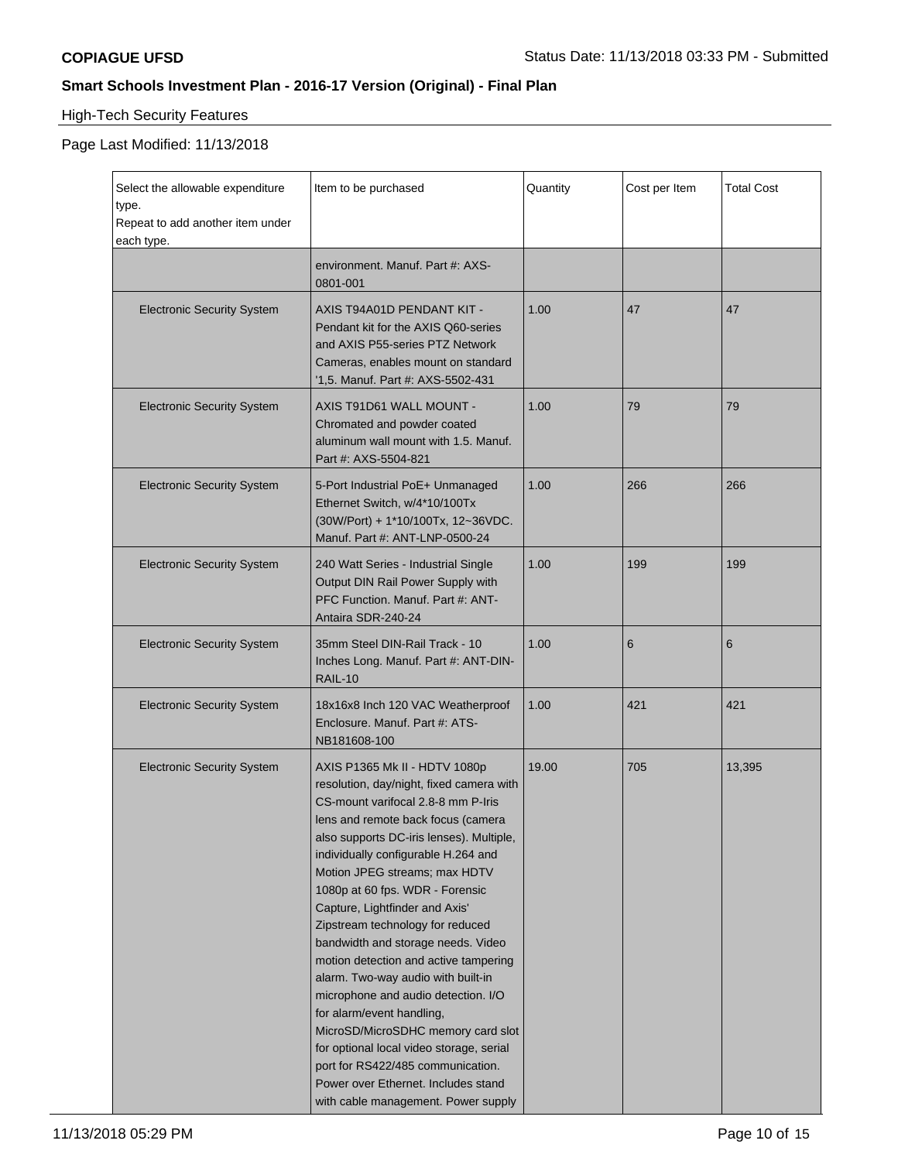# High-Tech Security Features

| Select the allowable expenditure<br>type.<br>Repeat to add another item under<br>each type. | Item to be purchased                                                                                                                                                                                                                                                                                                                                                                                                                                                                                                                                                                                                                                                                                                                                                             | Quantity | Cost per Item | <b>Total Cost</b> |
|---------------------------------------------------------------------------------------------|----------------------------------------------------------------------------------------------------------------------------------------------------------------------------------------------------------------------------------------------------------------------------------------------------------------------------------------------------------------------------------------------------------------------------------------------------------------------------------------------------------------------------------------------------------------------------------------------------------------------------------------------------------------------------------------------------------------------------------------------------------------------------------|----------|---------------|-------------------|
|                                                                                             | environment. Manuf. Part #: AXS-<br>0801-001                                                                                                                                                                                                                                                                                                                                                                                                                                                                                                                                                                                                                                                                                                                                     |          |               |                   |
| <b>Electronic Security System</b>                                                           | AXIS T94A01D PENDANT KIT -<br>Pendant kit for the AXIS Q60-series<br>and AXIS P55-series PTZ Network<br>Cameras, enables mount on standard<br>'1,5. Manuf. Part #: AXS-5502-431                                                                                                                                                                                                                                                                                                                                                                                                                                                                                                                                                                                                  | 1.00     | 47            | 47                |
| <b>Electronic Security System</b>                                                           | AXIS T91D61 WALL MOUNT -<br>Chromated and powder coated<br>aluminum wall mount with 1.5. Manuf.<br>Part #: AXS-5504-821                                                                                                                                                                                                                                                                                                                                                                                                                                                                                                                                                                                                                                                          | 1.00     | 79            | 79                |
| <b>Electronic Security System</b>                                                           | 5-Port Industrial PoE+ Unmanaged<br>Ethernet Switch, w/4*10/100Tx<br>(30W/Port) + 1*10/100Tx, 12~36VDC.<br>Manuf. Part #: ANT-LNP-0500-24                                                                                                                                                                                                                                                                                                                                                                                                                                                                                                                                                                                                                                        | 1.00     | 266           | 266               |
| <b>Electronic Security System</b>                                                           | 240 Watt Series - Industrial Single<br>Output DIN Rail Power Supply with<br>PFC Function. Manuf. Part #: ANT-<br>Antaira SDR-240-24                                                                                                                                                                                                                                                                                                                                                                                                                                                                                                                                                                                                                                              | 1.00     | 199           | 199               |
| <b>Electronic Security System</b>                                                           | 35mm Steel DIN-Rail Track - 10<br>Inches Long. Manuf. Part #: ANT-DIN-<br><b>RAIL-10</b>                                                                                                                                                                                                                                                                                                                                                                                                                                                                                                                                                                                                                                                                                         | 1.00     | 6             | 6                 |
| <b>Electronic Security System</b>                                                           | 18x16x8 Inch 120 VAC Weatherproof<br>Enclosure. Manuf. Part #: ATS-<br>NB181608-100                                                                                                                                                                                                                                                                                                                                                                                                                                                                                                                                                                                                                                                                                              | 1.00     | 421           | 421               |
| <b>Electronic Security System</b>                                                           | AXIS P1365 Mk II - HDTV 1080p<br>resolution, day/night, fixed camera with<br>CS-mount varifocal 2.8-8 mm P-Iris<br>lens and remote back focus (camera<br>also supports DC-iris lenses). Multiple,<br>individually configurable H.264 and<br>Motion JPEG streams; max HDTV<br>1080p at 60 fps. WDR - Forensic<br>Capture, Lightfinder and Axis'<br>Zipstream technology for reduced<br>bandwidth and storage needs. Video<br>motion detection and active tampering<br>alarm. Two-way audio with built-in<br>microphone and audio detection. I/O<br>for alarm/event handling,<br>MicroSD/MicroSDHC memory card slot<br>for optional local video storage, serial<br>port for RS422/485 communication.<br>Power over Ethernet. Includes stand<br>with cable management. Power supply | 19.00    | 705           | 13,395            |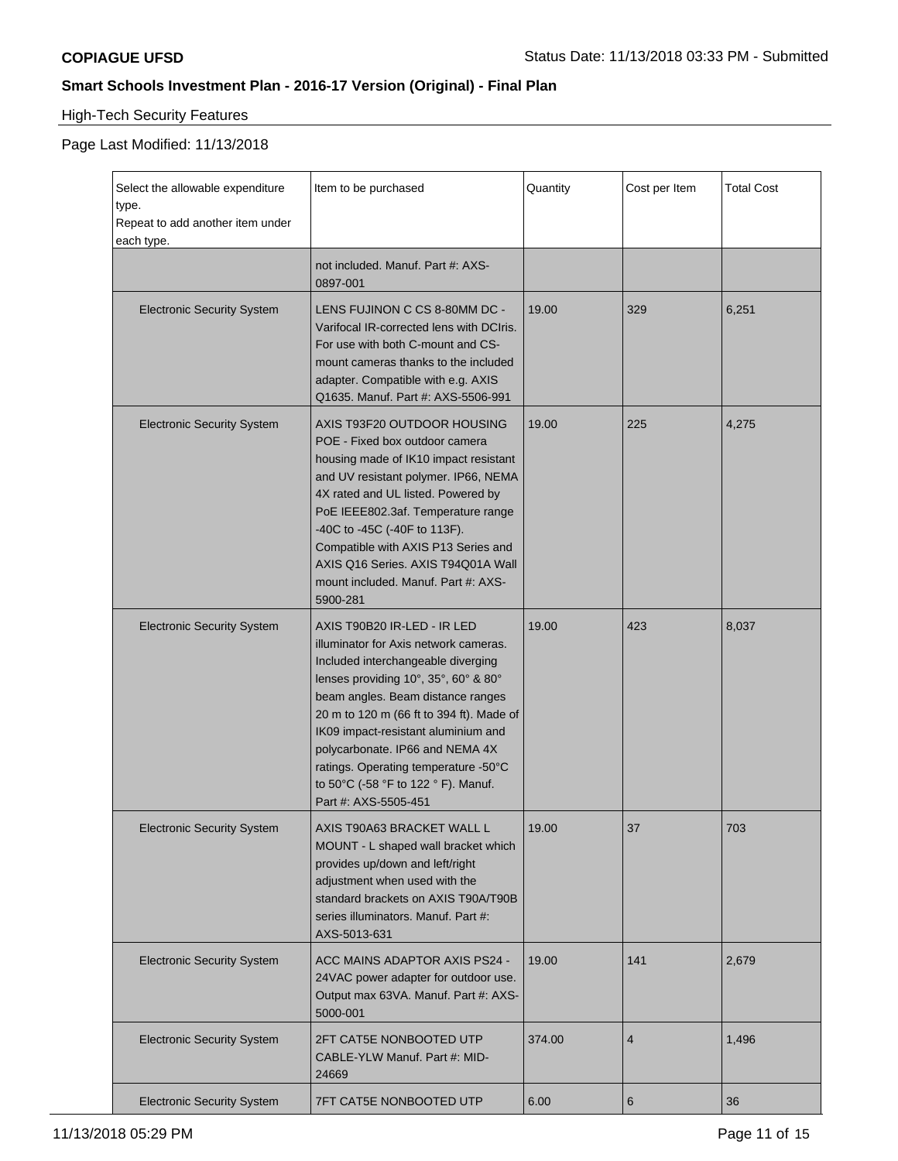# High-Tech Security Features

| Select the allowable expenditure<br>type.<br>Repeat to add another item under<br>each type. | Item to be purchased                                                                                                                                                                                                                                                                                                                                                                                                 | Quantity | Cost per Item   | <b>Total Cost</b> |
|---------------------------------------------------------------------------------------------|----------------------------------------------------------------------------------------------------------------------------------------------------------------------------------------------------------------------------------------------------------------------------------------------------------------------------------------------------------------------------------------------------------------------|----------|-----------------|-------------------|
|                                                                                             | not included. Manuf. Part #: AXS-<br>0897-001                                                                                                                                                                                                                                                                                                                                                                        |          |                 |                   |
| <b>Electronic Security System</b>                                                           | LENS FUJINON C CS 8-80MM DC -<br>Varifocal IR-corrected lens with DCIris.<br>For use with both C-mount and CS-<br>mount cameras thanks to the included<br>adapter. Compatible with e.g. AXIS<br>Q1635. Manuf. Part #: AXS-5506-991                                                                                                                                                                                   | 19.00    | 329             | 6,251             |
| <b>Electronic Security System</b>                                                           | AXIS T93F20 OUTDOOR HOUSING<br>POE - Fixed box outdoor camera<br>housing made of IK10 impact resistant<br>and UV resistant polymer. IP66, NEMA<br>4X rated and UL listed. Powered by<br>PoE IEEE802.3af. Temperature range<br>-40C to -45C (-40F to 113F).<br>Compatible with AXIS P13 Series and<br>AXIS Q16 Series. AXIS T94Q01A Wall<br>mount included. Manuf. Part #: AXS-<br>5900-281                           | 19.00    | 225             | 4,275             |
| <b>Electronic Security System</b>                                                           | AXIS T90B20 IR-LED - IR LED<br>illuminator for Axis network cameras.<br>Included interchangeable diverging<br>lenses providing 10°, 35°, 60° & 80°<br>beam angles. Beam distance ranges<br>20 m to 120 m (66 ft to 394 ft). Made of<br>IK09 impact-resistant aluminium and<br>polycarbonate. IP66 and NEMA 4X<br>ratings. Operating temperature -50°C<br>to 50°C (-58 °F to 122 ° F). Manuf.<br>Part #: AXS-5505-451 | 19.00    | 423             | 8,037             |
| <b>Electronic Security System</b>                                                           | AXIS T90A63 BRACKET WALL L<br>MOUNT - L shaped wall bracket which<br>provides up/down and left/right<br>adjustment when used with the<br>standard brackets on AXIS T90A/T90B<br>series illuminators. Manuf. Part #:<br>AXS-5013-631                                                                                                                                                                                  | 19.00    | 37              | 703               |
| <b>Electronic Security System</b>                                                           | <b>ACC MAINS ADAPTOR AXIS PS24 -</b><br>24VAC power adapter for outdoor use.<br>Output max 63VA. Manuf. Part #: AXS-<br>5000-001                                                                                                                                                                                                                                                                                     | 19.00    | 141             | 2,679             |
| <b>Electronic Security System</b>                                                           | 2FT CAT5E NONBOOTED UTP<br>CABLE-YLW Manuf. Part #: MID-<br>24669                                                                                                                                                                                                                                                                                                                                                    | 374.00   | $\overline{4}$  | 1,496             |
| <b>Electronic Security System</b>                                                           | 7FT CAT5E NONBOOTED UTP                                                                                                                                                                                                                                                                                                                                                                                              | 6.00     | $6\phantom{1}6$ | 36                |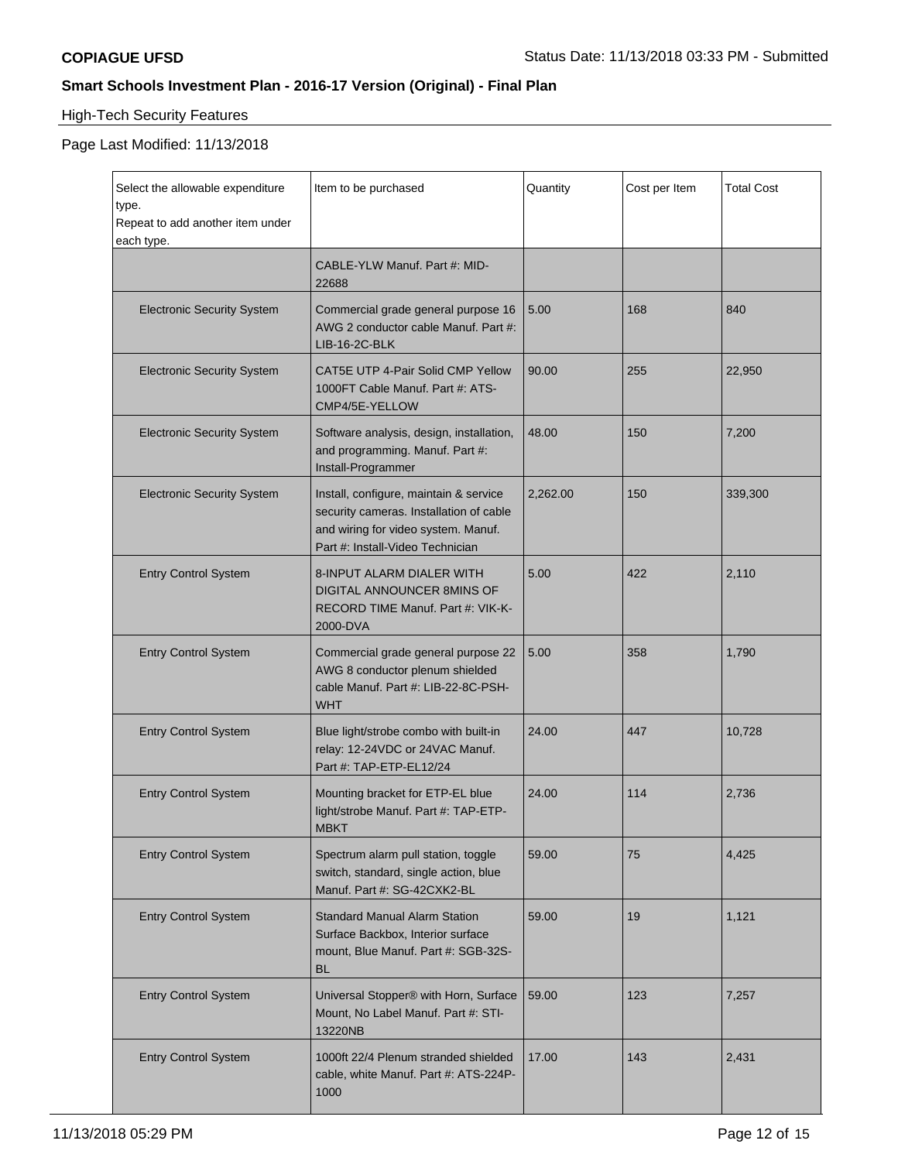# High-Tech Security Features

| Select the allowable expenditure<br>type.<br>Repeat to add another item under<br>each type. | Item to be purchased                                                                                                                                         | Quantity | Cost per Item | <b>Total Cost</b> |
|---------------------------------------------------------------------------------------------|--------------------------------------------------------------------------------------------------------------------------------------------------------------|----------|---------------|-------------------|
|                                                                                             | CABLE-YLW Manuf. Part #: MID-<br>22688                                                                                                                       |          |               |                   |
| <b>Electronic Security System</b>                                                           | Commercial grade general purpose 16<br>AWG 2 conductor cable Manuf. Part #:<br>LIB-16-2C-BLK                                                                 | 5.00     | 168           | 840               |
| <b>Electronic Security System</b>                                                           | CAT5E UTP 4-Pair Solid CMP Yellow<br>1000FT Cable Manuf. Part #: ATS-<br>CMP4/5E-YELLOW                                                                      | 90.00    | 255           | 22,950            |
| <b>Electronic Security System</b>                                                           | Software analysis, design, installation,<br>and programming. Manuf. Part #:<br>Install-Programmer                                                            | 48.00    | 150           | 7,200             |
| <b>Electronic Security System</b>                                                           | Install, configure, maintain & service<br>security cameras. Installation of cable<br>and wiring for video system. Manuf.<br>Part #: Install-Video Technician | 2,262.00 | 150           | 339,300           |
| <b>Entry Control System</b>                                                                 | 8-INPUT ALARM DIALER WITH<br>DIGITAL ANNOUNCER 8MINS OF<br>RECORD TIME Manuf. Part #: VIK-K-<br>2000-DVA                                                     | 5.00     | 422           | 2,110             |
| <b>Entry Control System</b>                                                                 | Commercial grade general purpose 22<br>AWG 8 conductor plenum shielded<br>cable Manuf. Part #: LIB-22-8C-PSH-<br><b>WHT</b>                                  | 5.00     | 358           | 1,790             |
| <b>Entry Control System</b>                                                                 | Blue light/strobe combo with built-in<br>relay: 12-24VDC or 24VAC Manuf.<br>Part #: TAP-ETP-EL12/24                                                          | 24.00    | 447           | 10,728            |
| <b>Entry Control System</b>                                                                 | Mounting bracket for ETP-EL blue<br>light/strobe Manuf. Part #: TAP-ETP-<br><b>MBKT</b>                                                                      | 24.00    | 114           | 2,736             |
| <b>Entry Control System</b>                                                                 | Spectrum alarm pull station, toggle<br>switch, standard, single action, blue<br>Manuf. Part #: SG-42CXK2-BL                                                  | 59.00    | 75            | 4,425             |
| <b>Entry Control System</b>                                                                 | <b>Standard Manual Alarm Station</b><br>Surface Backbox, Interior surface<br>mount, Blue Manuf. Part #: SGB-32S-<br><b>BL</b>                                | 59.00    | 19            | 1,121             |
| <b>Entry Control System</b>                                                                 | Universal Stopper® with Horn, Surface<br>Mount, No Label Manuf. Part #: STI-<br>13220NB                                                                      | 59.00    | 123           | 7,257             |
| <b>Entry Control System</b>                                                                 | 1000ft 22/4 Plenum stranded shielded<br>cable, white Manuf. Part #: ATS-224P-<br>1000                                                                        | 17.00    | 143           | 2,431             |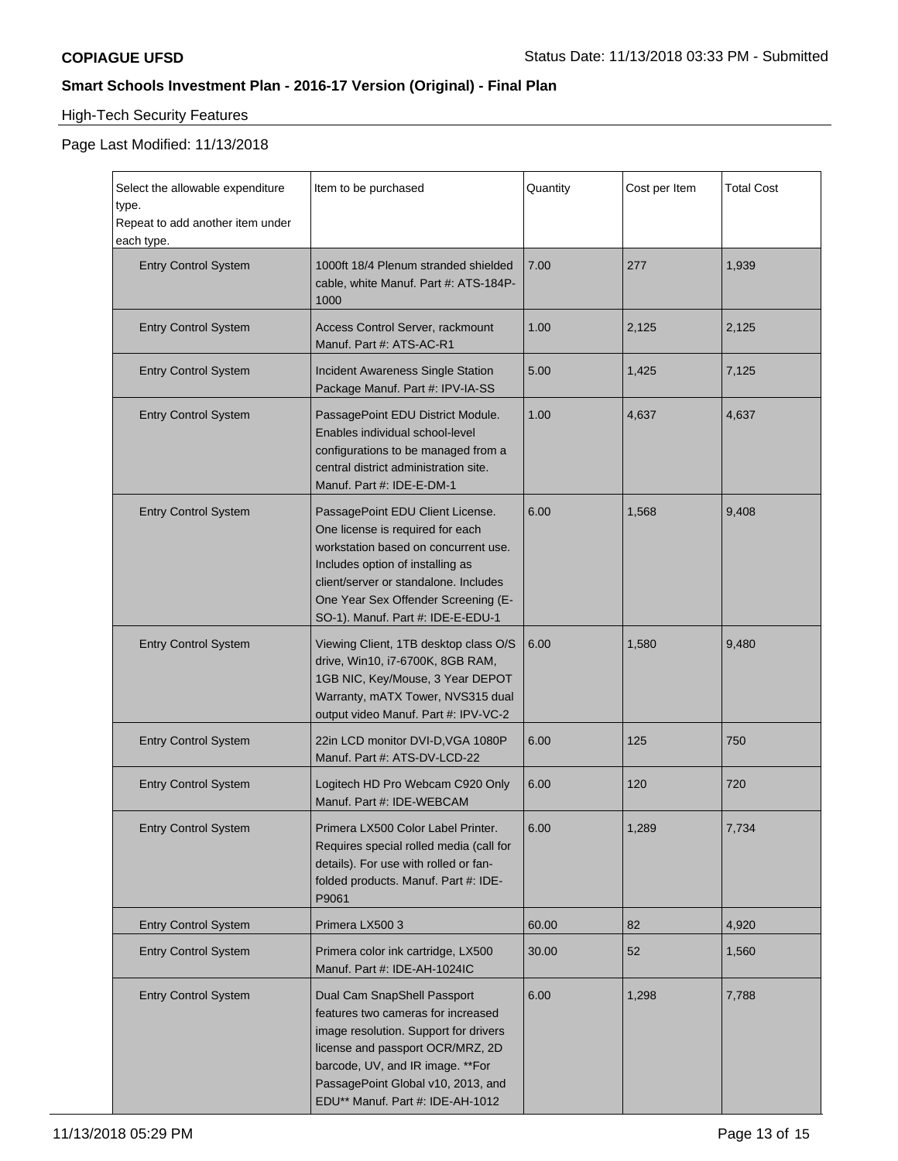# High-Tech Security Features

| Select the allowable expenditure<br>type.<br>Repeat to add another item under<br>each type. | Item to be purchased                                                                                                                                                                                                                                                  | Quantity | Cost per Item | <b>Total Cost</b> |
|---------------------------------------------------------------------------------------------|-----------------------------------------------------------------------------------------------------------------------------------------------------------------------------------------------------------------------------------------------------------------------|----------|---------------|-------------------|
| <b>Entry Control System</b>                                                                 | 1000ft 18/4 Plenum stranded shielded<br>cable, white Manuf. Part #: ATS-184P-<br>1000                                                                                                                                                                                 | 7.00     | 277           | 1,939             |
| <b>Entry Control System</b>                                                                 | Access Control Server, rackmount<br>Manuf. Part #: ATS-AC-R1                                                                                                                                                                                                          | 1.00     | 2,125         | 2,125             |
| <b>Entry Control System</b>                                                                 | <b>Incident Awareness Single Station</b><br>Package Manuf. Part #: IPV-IA-SS                                                                                                                                                                                          | 5.00     | 1,425         | 7,125             |
| <b>Entry Control System</b>                                                                 | PassagePoint EDU District Module.<br>Enables individual school-level<br>configurations to be managed from a<br>central district administration site.<br>Manuf. Part #: IDE-E-DM-1                                                                                     | 1.00     | 4,637         | 4,637             |
| <b>Entry Control System</b>                                                                 | PassagePoint EDU Client License.<br>One license is required for each<br>workstation based on concurrent use.<br>Includes option of installing as<br>client/server or standalone. Includes<br>One Year Sex Offender Screening (E-<br>SO-1). Manuf. Part #: IDE-E-EDU-1 | 6.00     | 1,568         | 9,408             |
| <b>Entry Control System</b>                                                                 | Viewing Client, 1TB desktop class O/S<br>drive, Win10, i7-6700K, 8GB RAM,<br>1GB NIC, Key/Mouse, 3 Year DEPOT<br>Warranty, mATX Tower, NVS315 dual<br>output video Manuf. Part #: IPV-VC-2                                                                            | 6.00     | 1,580         | 9,480             |
| <b>Entry Control System</b>                                                                 | 22in LCD monitor DVI-D, VGA 1080P<br>Manuf. Part #: ATS-DV-LCD-22                                                                                                                                                                                                     | 6.00     | 125           | 750               |
| <b>Entry Control System</b>                                                                 | Logitech HD Pro Webcam C920 Only<br>Manuf. Part #: IDE-WEBCAM                                                                                                                                                                                                         | 6.00     | 120           | 720               |
| <b>Entry Control System</b>                                                                 | Primera LX500 Color Label Printer.<br>Requires special rolled media (call for<br>details). For use with rolled or fan-<br>folded products. Manuf. Part #: IDE-<br>P9061                                                                                               | 6.00     | 1,289         | 7,734             |
| <b>Entry Control System</b>                                                                 | Primera LX500 3                                                                                                                                                                                                                                                       | 60.00    | 82            | 4,920             |
| <b>Entry Control System</b>                                                                 | Primera color ink cartridge, LX500<br>Manuf. Part #: IDE-AH-1024IC                                                                                                                                                                                                    | 30.00    | 52            | 1,560             |
| <b>Entry Control System</b>                                                                 | Dual Cam SnapShell Passport<br>features two cameras for increased<br>image resolution. Support for drivers<br>license and passport OCR/MRZ, 2D<br>barcode, UV, and IR image. ** For<br>PassagePoint Global v10, 2013, and<br>EDU** Manuf. Part #: IDE-AH-1012         | 6.00     | 1,298         | 7,788             |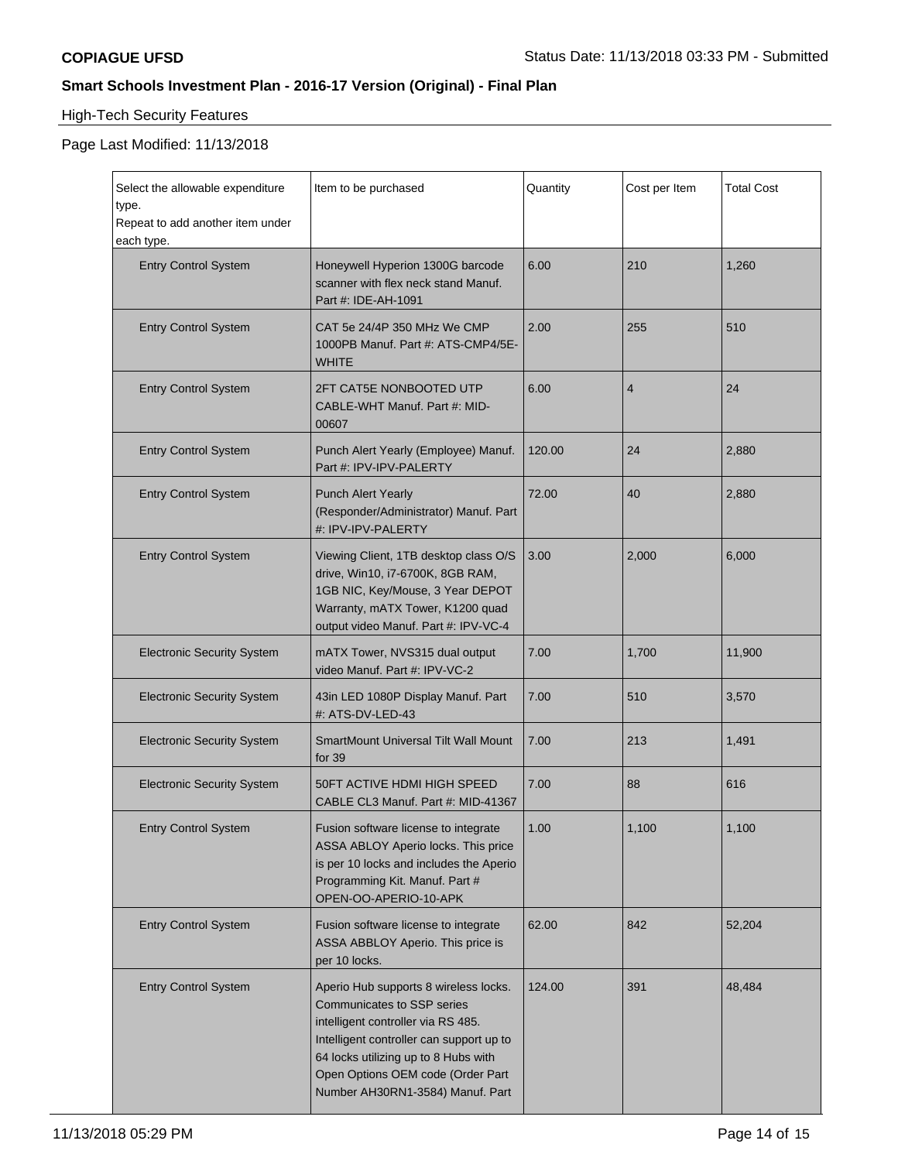# High-Tech Security Features

| Select the allowable expenditure<br>type.<br>Repeat to add another item under<br>each type. | Item to be purchased                                                                                                                                                                                                                                                   | Quantity | Cost per Item           | <b>Total Cost</b> |
|---------------------------------------------------------------------------------------------|------------------------------------------------------------------------------------------------------------------------------------------------------------------------------------------------------------------------------------------------------------------------|----------|-------------------------|-------------------|
| <b>Entry Control System</b>                                                                 | Honeywell Hyperion 1300G barcode<br>scanner with flex neck stand Manuf.<br>Part #: IDE-AH-1091                                                                                                                                                                         | 6.00     | 210                     | 1,260             |
| <b>Entry Control System</b>                                                                 | CAT 5e 24/4P 350 MHz We CMP<br>1000PB Manuf. Part #: ATS-CMP4/5E-<br><b>WHITE</b>                                                                                                                                                                                      | 2.00     | 255                     | 510               |
| <b>Entry Control System</b>                                                                 | 2FT CAT5E NONBOOTED UTP<br>CABLE-WHT Manuf. Part #: MID-<br>00607                                                                                                                                                                                                      | 6.00     | $\overline{\mathbf{4}}$ | 24                |
| <b>Entry Control System</b>                                                                 | Punch Alert Yearly (Employee) Manuf.<br>Part #: IPV-IPV-PALERTY                                                                                                                                                                                                        | 120.00   | 24                      | 2,880             |
| <b>Entry Control System</b>                                                                 | <b>Punch Alert Yearly</b><br>(Responder/Administrator) Manuf. Part<br>#: IPV-IPV-PALERTY                                                                                                                                                                               | 72.00    | 40                      | 2,880             |
| <b>Entry Control System</b>                                                                 | Viewing Client, 1TB desktop class O/S<br>drive, Win10, i7-6700K, 8GB RAM,<br>1GB NIC, Key/Mouse, 3 Year DEPOT<br>Warranty, mATX Tower, K1200 quad<br>output video Manuf. Part #: IPV-VC-4                                                                              | 3.00     | 2,000                   | 6,000             |
| <b>Electronic Security System</b>                                                           | mATX Tower, NVS315 dual output<br>video Manuf. Part #: IPV-VC-2                                                                                                                                                                                                        | 7.00     | 1,700                   | 11,900            |
| <b>Electronic Security System</b>                                                           | 43in LED 1080P Display Manuf. Part<br>#: ATS-DV-LED-43                                                                                                                                                                                                                 | 7.00     | 510                     | 3,570             |
| <b>Electronic Security System</b>                                                           | <b>SmartMount Universal Tilt Wall Mount</b><br>for 39                                                                                                                                                                                                                  | 7.00     | 213                     | 1,491             |
| <b>Electronic Security System</b>                                                           | 50FT ACTIVE HDMI HIGH SPEED<br>CABLE CL3 Manuf. Part #: MID-41367                                                                                                                                                                                                      | 7.00     | 88                      | 616               |
| <b>Entry Control System</b>                                                                 | Fusion software license to integrate<br>ASSA ABLOY Aperio locks. This price<br>is per 10 locks and includes the Aperio<br>Programming Kit. Manuf. Part #<br>OPEN-OO-APERIO-10-APK                                                                                      | 1.00     | 1,100                   | 1,100             |
| <b>Entry Control System</b>                                                                 | Fusion software license to integrate<br>ASSA ABBLOY Aperio. This price is<br>per 10 locks.                                                                                                                                                                             | 62.00    | 842                     | 52,204            |
| <b>Entry Control System</b>                                                                 | Aperio Hub supports 8 wireless locks.<br>Communicates to SSP series<br>intelligent controller via RS 485.<br>Intelligent controller can support up to<br>64 locks utilizing up to 8 Hubs with<br>Open Options OEM code (Order Part<br>Number AH30RN1-3584) Manuf. Part | 124.00   | 391                     | 48,484            |